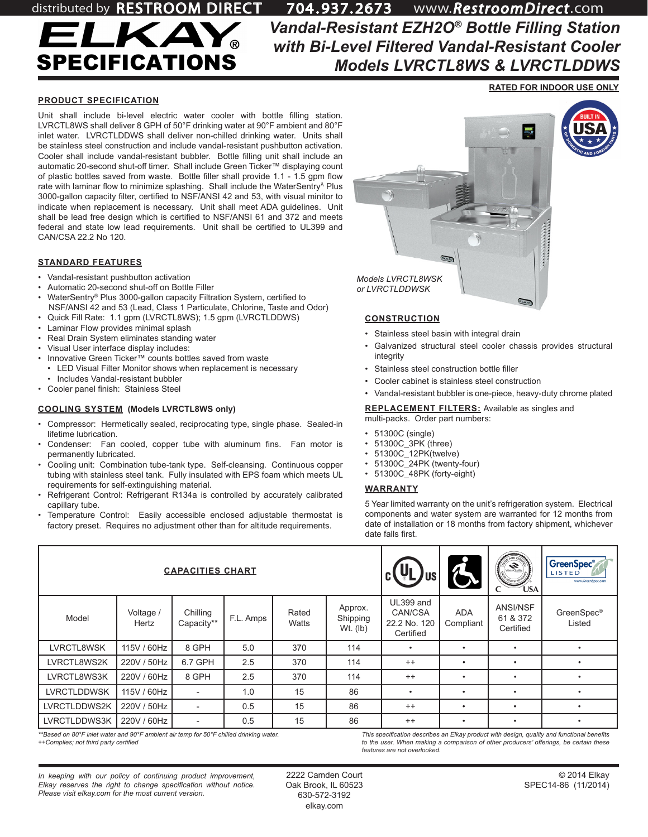

*Vandal-Resistant EZH2O® Bottle Filling Station with Bi-Level Filtered Vandal-Resistant Cooler Models LVRCTL8WS & LVRCTLDDWS* distributed by RESTROOM DIRECT 704 . 937. 2673 www.*RestroomDirect*.com

### **PRODUCT SPECIFICATION**

Unit shall include bi-level electric water cooler with bottle filling station. LVRCTL8WS shall deliver 8 GPH of 50°F drinking water at 90°F ambient and 80°F inlet water. LVRCTLDDWS shall deliver non-chilled drinking water. Units shall be stainless steel construction and include vandal-resistant pushbutton activation. Cooler shall include vandal-resistant bubbler. Bottle filling unit shall include an automatic 20-second shut-off timer. Shall include Green Ticker™ displaying count of plastic bottles saved from waste. Bottle filler shall provide 1.1 - 1.5 gpm flow rate with laminar flow to minimize splashing. Shall include the WaterSentry<sup>A</sup> Plus 3000-gallon capacity filter, certified to NSF/ANSI 42 and 53, with visual minitor to indicate when replacement is necessary. Unit shall meet ADA guidelines. Unit shall be lead free design which is certified to NSF/ANSI 61 and 372 and meets federal and state low lead requirements. Unit shall be certified to UL399 and CAN/CSA 22.2 No 120.

#### **STANDARD FEATURES**

- Vandal-resistant pushbutton activation
- Automatic 20-second shut-off on Bottle Filler
- WaterSentry® Plus 3000-gallon capacity Filtration System, certified to NSF/ANSI 42 and 53 (Lead, Class 1 Particulate, Chlorine, Taste and Odor)
- Quick Fill Rate: 1.1 gpm (LVRCTL8WS); 1.5 gpm (LVRCTLDDWS)
- Laminar Flow provides minimal splash
- Real Drain System eliminates standing water
- Visual User interface display includes:
- Innovative Green Ticker™ counts bottles saved from waste
	- LED Visual Filter Monitor shows when replacement is necessary
- Includes Vandal-resistant bubbler
- Cooler panel finish: Stainless Steel

### **COOLING SYSTEM (Models LVRCTL8WS only)**

- Compressor: Hermetically sealed, reciprocating type, single phase. Sealed-in lifetime lubrication.
- Condenser: Fan cooled, copper tube with aluminum fins. Fan motor is permanently lubricated.
- Cooling unit: Combination tube-tank type. Self-cleansing. Continuous copper tubing with stainless steel tank. Fully insulated with EPS foam which meets UL requirements for self-extinguishing material.
- Refrigerant Control: Refrigerant R134a is controlled by accurately calibrated capillary tube.
- Temperature Control: Easily accessible enclosed adjustable thermostat is factory preset. Requires no adjustment other than for altitude requirements.



# **CONSTRUCTION**

- Stainless steel basin with integral drain
- Galvanized structural steel cooler chassis provides structural integrity
- Stainless steel construction bottle filler
- Cooler cabinet is stainless steel construction
- Vandal-resistant bubbler is one-piece, heavy-duty chrome plated

**REPLACEMENT FILTERS:** Available as singles and multi-packs. Order part numbers:

- 51300C (single)
- 51300C\_3PK (three)
- 51300C\_12PK(twelve)
- 51300C\_24PK (twenty-four)
- 51300C\_48PK (forty-eight)

### **WARRANTY**

5 Year limited warranty on the unit's refrigeration system. Electrical components and water system are warranted for 12 months from date of installation or 18 months from factory shipment, whichever date falls first.

| <b>CAPACITIES CHART</b> |                    |                          |           |                |                                   | UL.<br>US                                         |                         | <b>CONTRACTOR</b><br><b>DLISTRY ST</b><br><b>ÚSA</b> | <b>GreenSpec</b> ®<br>LISTED<br>www.GreenSpec.com |
|-------------------------|--------------------|--------------------------|-----------|----------------|-----------------------------------|---------------------------------------------------|-------------------------|------------------------------------------------------|---------------------------------------------------|
| Model                   | Voltage /<br>Hertz | Chilling<br>Capacity**   | F.L. Amps | Rated<br>Watts | Approx.<br>Shipping<br>$Wt.$ (lb) | UL399 and<br>CAN/CSA<br>22.2 No. 120<br>Certified | <b>ADA</b><br>Compliant | ANSI/NSF<br>61 & 372<br>Certified                    | GreenSpec <sup>®</sup><br>Listed                  |
| LVRCTL8WSK              | 115V / 60Hz        | 8 GPH                    | 5.0       | 370            | 114                               | ٠                                                 |                         | $\bullet$                                            |                                                   |
| LVRCTL8WS2K             | 220V / 50Hz        | 6.7 GPH                  | 2.5       | 370            | 114                               | $^{++}$                                           |                         | $\bullet$                                            |                                                   |
| LVRCTL8WS3K             | 220V / 60Hz        | 8 GPH                    | 2.5       | 370            | 114                               | $^{++}$                                           |                         | $\bullet$                                            |                                                   |
| <b>LVRCTLDDWSK</b>      | 115V / 60Hz        | $\overline{\phantom{a}}$ | 1.0       | 15             | 86                                | ٠                                                 | ٠                       | ٠                                                    | $\bullet$                                         |
| LVRCTLDDWS2K            | 220V / 50Hz        | $\overline{\phantom{a}}$ | 0.5       | 15             | 86                                | $^{++}$                                           |                         | $\bullet$                                            |                                                   |
| LVRCTLDDWS3K            | 220V / 60Hz        |                          | 0.5       | 15             | 86                                | $^{++}$                                           |                         | $\bullet$                                            |                                                   |

*\*\*Based on 80°F inlet water and 90°F ambient air temp for 50°F chilled drinking water. ++Complies; not third party certified*

*This specification describes an Elkay product with design, quality and functional benefits to the user. When making a comparison of other producers' offerings, be certain these features are not overlooked.*

*In keeping with our policy of continuing product improvement, Elkay reserves the right to change specification without notice. Please visit elkay.com for the most current version.*

2222 Camden Court Oak Brook, IL 60523 630-572-3192 elkay.com

**RATED FOR INDOOR USE ONLY**